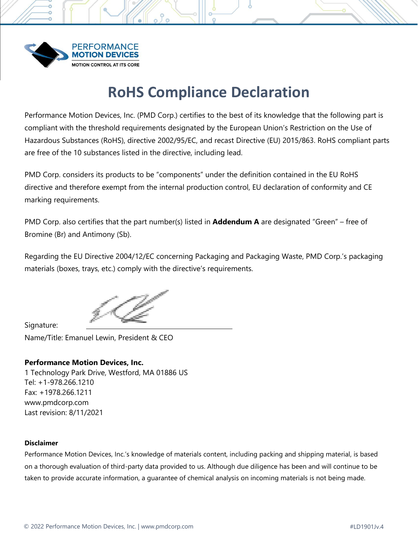

# **RoHS Compliance Declaration**

 $9^{\circ}$ 

Performance Motion Devices, Inc. (PMD Corp.) certifies to the best of its knowledge that the following part is compliant with the threshold requirements designated by the European Union's Restriction on the Use of Hazardous Substances (RoHS), directive 2002/95/EC, and recast Directive (EU) 2015/863. RoHS compliant parts are free of the 10 substances listed in the directive, including lead.

PMD Corp. considers its products to be "components" under the definition contained in the EU RoHS directive and therefore exempt from the internal production control, EU declaration of conformity and CE marking requirements.

PMD Corp. also certifies that the part number(s) listed in **Addendum A** are designated "Green" – free of Bromine (Br) and Antimony (Sb).

Regarding the EU Directive 2004/12/EC concerning Packaging and Packaging Waste, PMD Corp.'s packaging materials (boxes, trays, etc.) comply with the directive's requirements.

Signature:

Name/Title: Emanuel Lewin, President & CEO

# **Performance Motion Devices, Inc.**

1 Technology Park Drive, Westford, MA 01886 US Tel: +1-978.266.1210 Fax: +1978.266.1211 [www.pmdcorp.com](http://www.pmdcorp.com/) Last revision: 8/11/2021

### **Disclaimer**

Performance Motion Devices, Inc.'s knowledge of materials content, including packing and shipping material, is based on a thorough evaluation of third-party data provided to us. Although due diligence has been and will continue to be taken to provide accurate information, a guarantee of chemical analysis on incoming materials is not being made.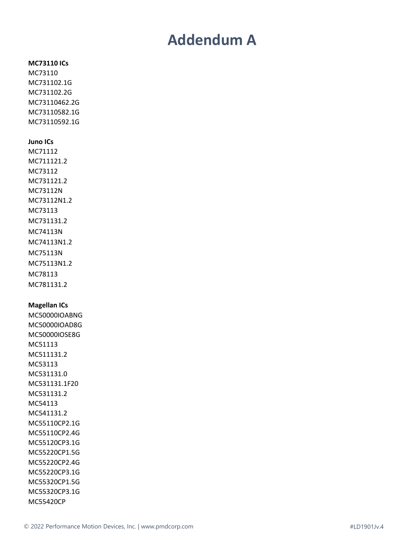# **Addendum A**

# **MC73110 ICs** MC73110 MC731102.1G MC731102.2G MC73110462.2G MC73110582.1G MC73110592.1G **Juno ICs** MC71112 MC711121.2 MC73112 MC731121.2 MC73112N MC73112N1.2 MC73113 MC731131.2 MC74113N MC74113N1.2 MC75113N MC75113N1.2 MC78113 MC781131.2 **Magellan ICs** MC50000IOABNG MC50000IOAD8G MC50000IOSE8G MC51113 MC511131.2 MC53113 MC531131.0 MC531131.1F20 MC531131.2 MC54113 MC541131.2 MC55110CP2.1G MC55110CP2.4G MC55120CP3.1G MC55220CP1.5G MC55220CP2.4G MC55220CP3.1G MC55320CP1.5G MC55320CP3.1G MC55420CP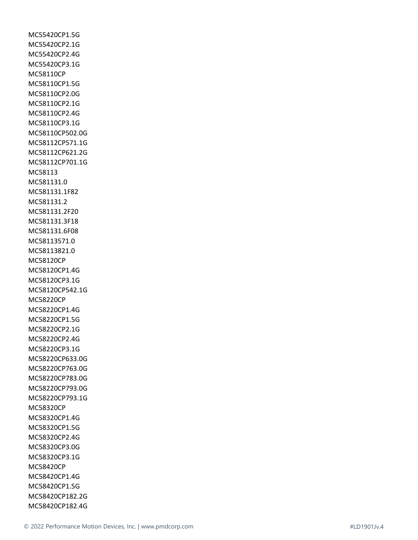MC55420CP1.5G MC55420CP2.1G MC55420CP2.4G MC55420CP3.1G MC58110CP MC58110CP1.5G MC58110CP2.0G MC58110CP2.1G MC58110CP2.4G MC58110CP3.1G MC58110CP502.0G MC58112CP571.1G MC58112CP621.2G MC58112CP701.1G MC58113 MC581131.0 MC581131.1F82 MC581131.2 MC581131.2F20 MC581131.3F18 MC581131.6F08 MC58113571.0 MC58113821.0 MC58120CP MC58120CP1.4G MC58120CP3.1G MC58120CP542.1G MC58220CP MC58220CP1.4G MC58220CP1.5G MC58220CP2.1G MC58220CP2.4G MC58220CP3.1G MC58220CP633.0G MC58220CP763.0G MC58220CP783.0G MC58220CP793.0G MC58220CP793.1G MC58320CP MC58320CP1.4G MC58320CP1.5G MC58320CP2.4G MC58320CP3.0G MC58320CP3.1G MC58420CP MC58420CP1.4G MC58420CP1.5G MC58420CP182.2G MC58420CP182.4G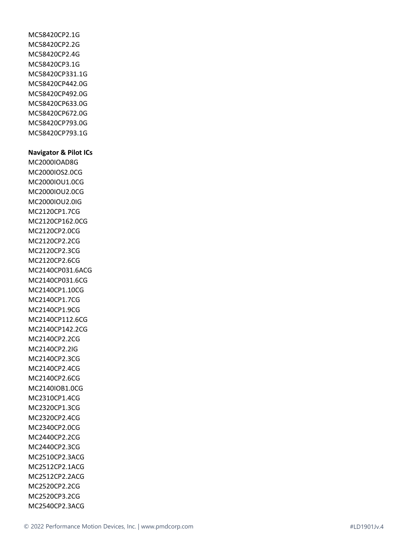MC58420CP2.1G MC58420CP2.2G MC58420CP2.4G MC58420CP3.1G MC58420CP331.1G MC58420CP442.0G MC58420CP492.0G MC58420CP633.0G MC58420CP672.0G MC58420CP793.0G MC58420CP793.1G

#### **Navigator & Pilot ICs**

MC2000IOAD8G MC2000IOS2.0CG MC2000IOU1.0CG MC2000IOU2.0CG MC2000IOU2.0IG MC2120CP1.7CG MC2120CP162.0CG MC2120CP2.0CG MC2120CP2.2CG MC2120CP2.3CG MC2120CP2.6CG MC2140CP031.6ACG MC2140CP031.6CG MC2140CP1.10CG MC2140CP1.7CG MC2140CP1.9CG MC2140CP112.6CG MC2140CP142.2CG MC2140CP2.2CG MC2140CP2.2IG MC2140CP2.3CG MC2140CP2.4CG MC2140CP2.6CG MC2140IOB1.0CG MC2310CP1.4CG MC2320CP1.3CG MC2320CP2.4CG MC2340CP2.0CG MC2440CP2.2CG MC2440CP2.3CG MC2510CP2.3ACG MC2512CP2.1ACG MC2512CP2.2ACG MC2520CP2.2CG MC2520CP3.2CG MC2540CP2.3ACG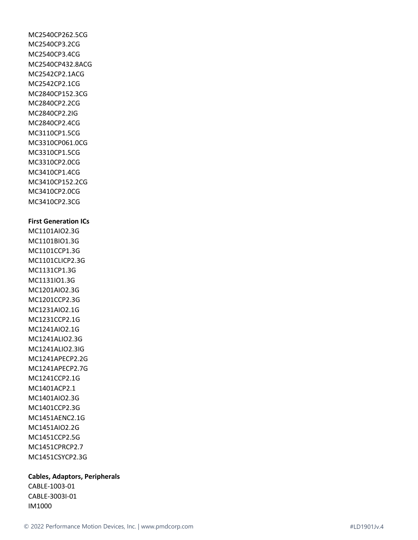MC2540CP262.5CG MC2540CP3.2CG MC2540CP3.4CG MC2540CP432.8ACG MC2542CP2.1ACG MC2542CP2.1CG MC2840CP152.3CG MC2840CP2.2CG MC2840CP2.2IG MC2840CP2.4CG MC3110CP1.5CG MC3310CP061.0CG MC3310CP1.5CG MC3310CP2.0CG MC3410CP1.4CG MC3410CP152.2CG MC3410CP2.0CG MC3410CP2.3CG **First Generation ICs** MC1101AIO2.3G MC1101BIO1.3G MC1101CCP1.3G MC1101CLICP2.3G MC1131CP1.3G MC1131IO1.3G MC1201AIO2.3G MC1201CCP2.3G MC1231AIO2.1G MC1231CCP2.1G MC1241AIO2.1G MC1241ALIO2.3G MC1241ALIO2.3IG MC1241APECP2.2G MC1241APECP2.7G MC1241CCP2.1G MC1401ACP2.1 MC1401AIO2.3G MC1401CCP2.3G MC1451AENC2.1G MC1451AIO2.2G MC1451CCP2.5G MC1451CPRCP2.7 MC1451CSYCP2.3G

### **Cables, Adaptors, Peripherals**

CABLE-1003-01 CABLE-3003I-01 IM1000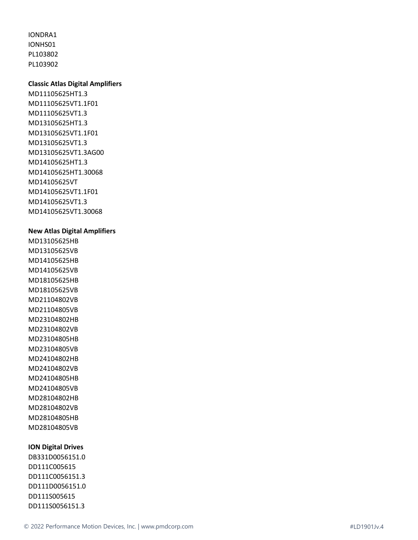IONDRA1 IONHS01 PL103802 PL103902

### **Classic Atlas Digital Amplifiers**

MD11105625HT1.3 MD11105625VT1.1F01 MD11105625VT1.3 MD13105625HT1.3 MD13105625VT1.1F01 MD13105625VT1.3 MD13105625VT1.3AG00 MD14105625HT1.3 MD14105625HT1.30068 MD14105625VT MD14105625VT1.1F01 MD14105625VT1.3 MD14105625VT1.30068

#### **New Atlas Digital Amplifiers**

MD13105625HB MD13105625VB MD14105625HB MD14105625VB MD18105625HB MD18105625VB MD21104802VB MD21104805VB MD23104802HB MD23104802VB MD23104805HB MD23104805VB MD24104802HB MD24104802VB MD24104805HB MD24104805VB MD28104802HB MD28104802VB MD28104805HB MD28104805VB

## **ION Digital Drives**

DB331D0056151.0 DD111C005615 DD111C0056151.3 DD111D0056151.0 DD111S005615 DD111S0056151.3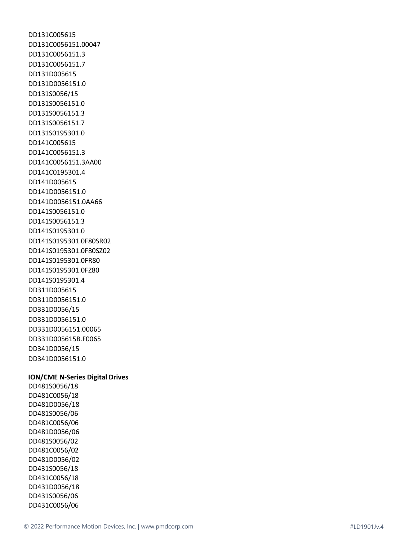DD131C005615 DD131C0056151.00047 DD131C0056151.3 DD131C0056151.7 DD131D005615 DD131D0056151.0 DD131S0056/15 DD131S0056151.0 DD131S0056151.3 DD131S0056151.7 DD131S0195301.0 DD141C005615 DD141C0056151.3 DD141C0056151.3AA00 DD141C0195301.4 DD141D005615 DD141D0056151.0 DD141D0056151.0AA66 DD141S0056151.0 DD141S0056151.3 DD141S0195301.0 DD141S0195301.0F80SR02 DD141S0195301.0F80SZ02 DD141S0195301.0FR80 DD141S0195301.0FZ80 DD141S0195301.4 DD311D005615 DD311D0056151.0 DD331D0056/15 DD331D0056151.0 DD331D0056151.00065 DD331D005615B.F0065 DD341D0056/15 DD341D0056151.0

#### **ION/CME N-Series Digital Drives**

DD481S0056/18 DD481C0056/18 DD481D0056/18 DD481S0056/06 DD481C0056/06 DD481D0056/06 DD481S0056/02 DD481C0056/02 DD481D0056/02 DD431S0056/18 DD431C0056/18 DD431D0056/18 DD431S0056/06 DD431C0056/06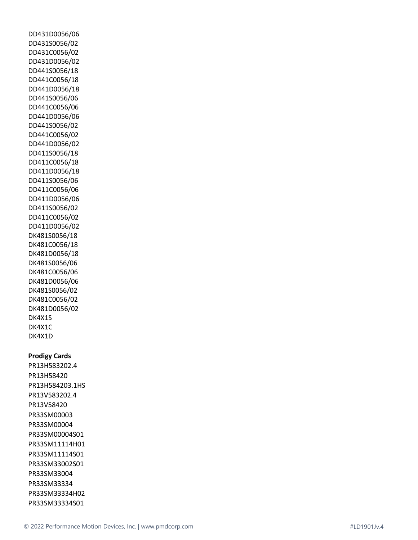DD431D0056/06 DD431S0056/02 DD431C0056/02 DD431D0056/02 DD441S0056/18 DD441C0056/18 DD441D0056/18 DD441S0056/06 DD441C0056/06 DD441D0056/06 DD441S0056/02 DD441C0056/02 DD441D0056/02 DD411S0056/18 DD411C0056/18 DD411D0056/18 DD411S0056/06 DD411C0056/06 DD411D0056/06 DD411S0056/02 DD411C0056/02 DD411D0056/02 DK481S0056/18 DK481C0056/18 DK481D0056/18 DK481S0056/06 DK481C0056/06 DK481D0056/06 DK481S0056/02 DK481C0056/02 DK481D0056/02 DK4X1S DK4X1C DK4X1D

### **Prodigy Cards**

PR13H583202.4 PR13H58420 PR13H584203.1HS PR13V583202.4 PR13V58420 PR33SM00003 PR33SM00004 PR33SM00004S01 PR33SM11114H01 PR33SM11114S01 PR33SM33002S01 PR33SM33004 PR33SM33334 PR33SM33334H02 PR33SM33334S01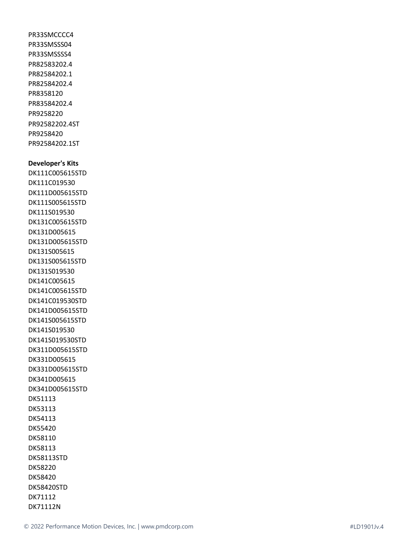PR33SMCCCC4 PR33SMSSS04 PR33SMSSSS4 PR82583202.4 PR82584202.1 PR82584202.4 PR8358120 PR83584202.4 PR9258220 PR92582202.4ST PR9258420 PR92584202.1ST

#### **Developer's Kits**

DK111C005615STD DK111C019530 DK111D005615STD DK111S005615STD DK111S019530 DK131C005615STD DK131D005615 DK131D005615STD DK131S005615 DK131S005615STD DK131S019530 DK141C005615 DK141C005615STD DK141C019530STD DK141D005615STD DK141S005615STD DK141S019530 DK141S019530STD DK311D005615STD DK331D005615 DK331D005615STD DK341D005615 DK341D005615STD DK51113 DK53113 DK54113 DK55420 DK58110 DK58113 DK58113STD DK58220 DK58420 DK58420STD DK71112 DK71112N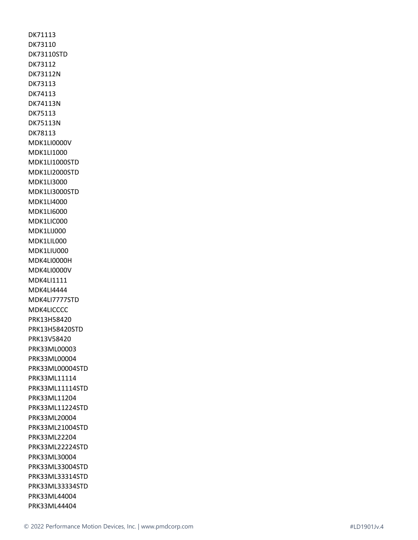DK71113 DK73110 DK73110STD DK73112 DK73112N DK73113 DK74113 DK74113N DK75113 DK75113N DK78113 MDK1LI0000V MDK1LI1000 MDK1LI1000STD MDK1LI2000STD MDK1LI3000 MDK1LI3000STD MDK1LI4000 MDK1LI6000 MDK1LIC000 MDK1LIJ000 MDK1LIL000 MDK1LIU000 MDK4LI0000H MDK4LI0000V MDK4LI1111 MDK4LI4444 MDK4LI7777STD MDK4LICCCC PRK13H58420 PRK13H58420STD PRK13V58420 PRK33ML00003 PRK33ML00004 PRK33ML00004STD PRK33ML11114 PRK33ML11114STD PRK33ML11204 PRK33ML11224STD PRK33ML20004 PRK33ML21004STD PRK33ML22204 PRK33ML22224STD PRK33ML30004 PRK33ML33004STD PRK33ML33314STD PRK33ML33334STD PRK33ML44004 PRK33ML44404